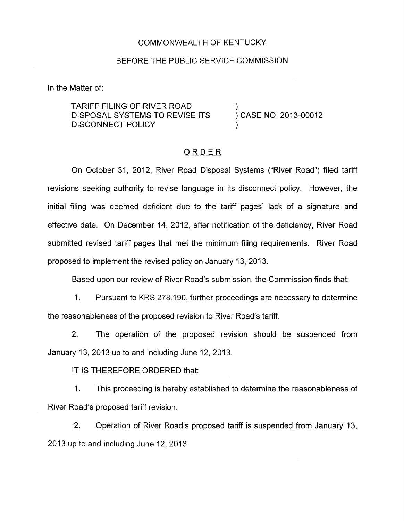## COMMONWEALTH OF KENTUCKY

## BEFORE THE PUBLIC SERVICE COMMISSION

In the Matter of:

TARIFF FILING OF RIVER ROAD ) DISPOSAL SYSTEMS TO REVISE ITS DISCONNECT POLICY

) CASE NO. 2013-00012

## ORDER

On October 31, 2012, River Road Disposal Systems ("River Road") filed tariff revisions seeking authority to revise language in its disconnect policy. However, the initial filing was deemed deficient due to the tariff pages' lack of a signature and effective date. On December 14, 2012, after notification of the deficiency, River Road submitted revised tariff pages that met the minimum filing requirements. River Road proposed to implement the revised policy on January 13, 2013.

Based upon our review of River Road's submission, the Commission finds that:

1. Pursuant to KRS 278.1 90, further proceedings are necessary to determine the reasonableness of the proposed revision to River Road's tariff.

2. The operation of the proposed revision should be suspended from January 13, 2013 up to and including June 12, 2013.

IT IS THEREFORE ORDERED that:

I. This proceeding is hereby established to determine the reasonableness of River Road's proposed tariff revision.

2. Operation of River Road's proposed tariff is suspended from January 13, 2013 up to and including June 12, 2013.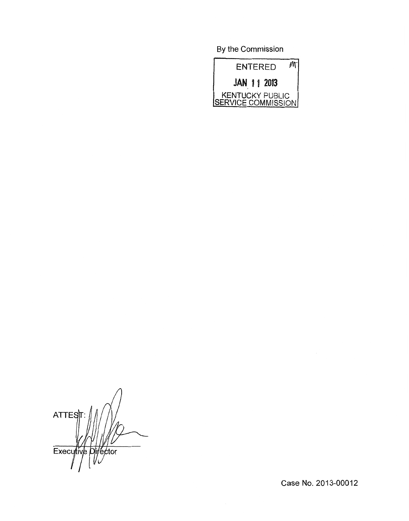By the Commission



**ATTES** Executive Director

Case No. 2013-00012